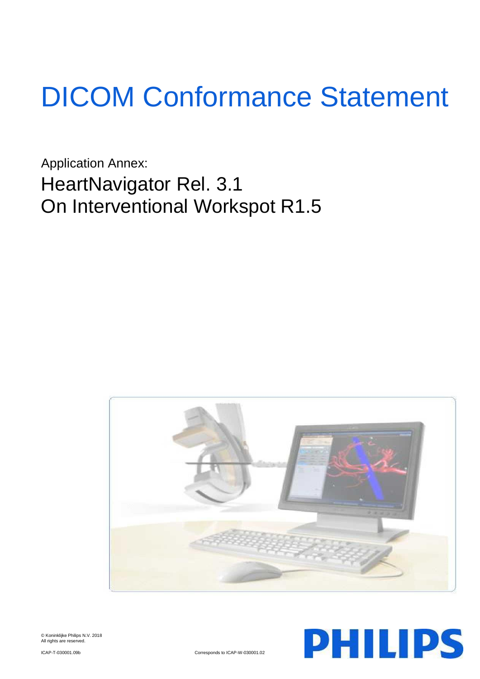# DICOM Conformance Statement

Application Annex: HeartNavigator Rel. 3.1 On Interventional Workspot R1.5





© Koninklijke Philips N.V. 2018 All rights are reserved.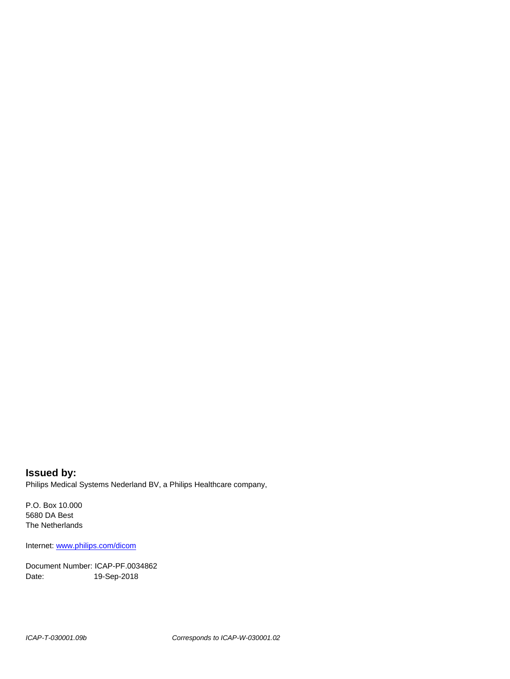**Issued by:** Philips Medical Systems Nederland BV, a Philips Healthcare company,

P.O. Box 10.000 5680 DA Best The Netherlands

Internet[: www.philips.com/dicom](http://www.philips.com/dicom)

Document Number: ICAP-PF.0034862 Date: 19-Sep-2018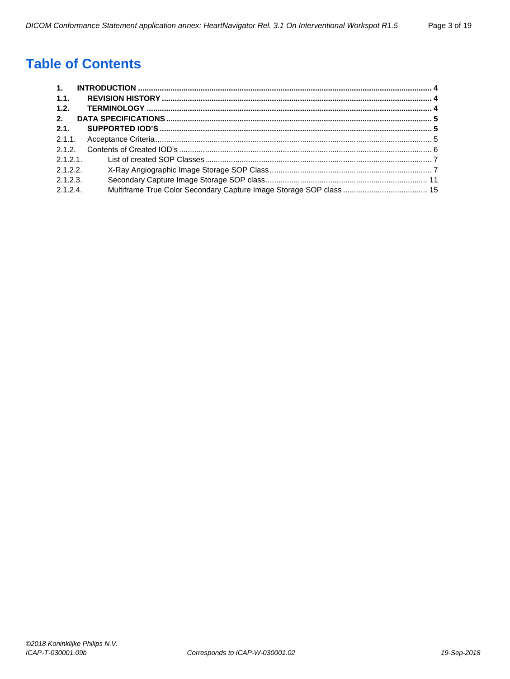# **Table of Contents**

| $\overline{1}$ . |  |
|------------------|--|
| 1.1.             |  |
| 1.2.             |  |
| 2.               |  |
| 2.1.             |  |
|                  |  |
| 2.1.2.           |  |
| 2.1.2.1          |  |
| 2.1.2.2          |  |
| 2.1.2.3          |  |
| 2.1.2.4          |  |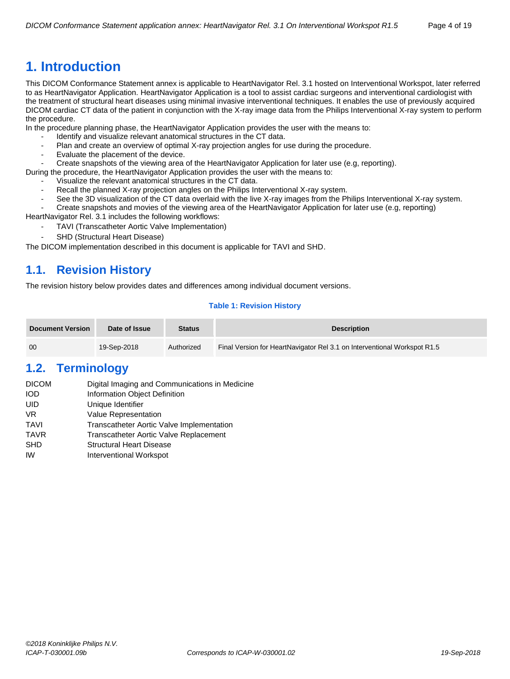<span id="page-3-0"></span>This DICOM Conformance Statement annex is applicable to HeartNavigator Rel. 3.1 hosted on Interventional Workspot, later referred to as HeartNavigator Application. HeartNavigator Application is a tool to assist cardiac surgeons and interventional cardiologist with the treatment of structural heart diseases using minimal invasive interventional techniques. It enables the use of previously acquired DICOM cardiac CT data of the patient in conjunction with the X-ray image data from the Philips Interventional X-ray system to perform the procedure.

In the procedure planning phase, the HeartNavigator Application provides the user with the means to:

- Identify and visualize relevant anatomical structures in the CT data.
- Plan and create an overview of optimal X-ray projection angles for use during the procedure.
- Evaluate the placement of the device.
- Create snapshots of the viewing area of the HeartNavigator Application for later use (e.g, reporting).

During the procedure, the HeartNavigator Application provides the user with the means to:

- Visualize the relevant anatomical structures in the CT data.
- Recall the planned X-ray projection angles on the Philips Interventional X-ray system.
- See the 3D visualization of the CT data overlaid with the live X-ray images from the Philips Interventional X-ray system.
- Create snapshots and movies of the viewing area of the HeartNavigator Application for later use (e.g, reporting)

HeartNavigator Rel. 3.1 includes the following workflows:

- TAVI (Transcatheter Aortic Valve Implementation)
- SHD (Structural Heart Disease)

The DICOM implementation described in this document is applicable for TAVI and SHD.

# <span id="page-3-1"></span>**1.1. Revision History**

The revision history below provides dates and differences among individual document versions.

#### **Table 1: Revision History**

| <b>Document Version</b> | Date of Issue | <b>Status</b> | <b>Description</b>                                                       |
|-------------------------|---------------|---------------|--------------------------------------------------------------------------|
| 00                      | 19-Sep-2018   | Authorized    | Final Version for HeartNavigator Rel 3.1 on Interventional Workspot R1.5 |

# <span id="page-3-2"></span>**1.2. Terminology**

| <b>DICOM</b> | Digital Imaging and Communications in Medicine |
|--------------|------------------------------------------------|
| IOD          | Information Object Definition                  |
| UID          | Unique Identifier                              |
| VR.          | <b>Value Representation</b>                    |
| TAVI         | Transcatheter Aortic Valve Implementation      |
| TAVR         | Transcatheter Aortic Valve Replacement         |
| SHD          | <b>Structural Heart Disease</b>                |
| IW           | Interventional Workspot                        |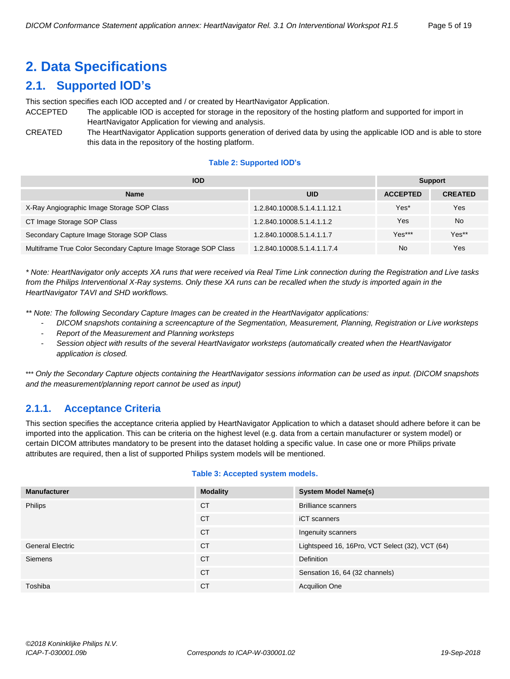# <span id="page-4-0"></span>**2. Data Specifications**

# <span id="page-4-1"></span>**2.1. Supported IOD's**

This section specifies each IOD accepted and / or created by HeartNavigator Application.

- ACCEPTED The applicable IOD is accepted for storage in the repository of the hosting platform and supported for import in HeartNavigator Application for viewing and analysis.
- CREATED The HeartNavigator Application supports generation of derived data by using the applicable IOD and is able to store this data in the repository of the hosting platform.

#### **Table 2: Supported IOD's**

| <b>IOD</b>                                                      | <b>Support</b>               |                 |                |
|-----------------------------------------------------------------|------------------------------|-----------------|----------------|
| <b>Name</b>                                                     | <b>UID</b>                   | <b>ACCEPTED</b> | <b>CREATED</b> |
| X-Ray Angiographic Image Storage SOP Class                      | 1.2.840.10008.5.1.4.1.1.12.1 | Yes*            | Yes            |
| CT Image Storage SOP Class                                      | 1.2.840.10008.5.1.4.1.1.2    | Yes             | <b>No</b>      |
| Secondary Capture Image Storage SOP Class                       | 1.2.840.10008.5.1.4.1.1.7    | $Yes***$        | Yes**          |
| Multiframe True Color Secondary Capture Image Storage SOP Class | 1.2.840.10008.5.1.4.1.1.7.4  | No              | Yes            |

*\* Note: HeartNavigator only accepts XA runs that were received via Real Time Link connection during the Registration and Live tasks from the Philips Interventional X-Ray systems. Only these XA runs can be recalled when the study is imported again in the HeartNavigator TAVI and SHD workflows.*

*\*\* Note: The following Secondary Capture Images can be created in the HeartNavigator applications:*

- *DICOM snapshots containing a screencapture of the Segmentation, Measurement, Planning, Registration or Live worksteps*
- *Report of the Measurement and Planning worksteps*
- *Session object with results of the several HeartNavigator worksteps (automatically created when the HeartNavigator application is closed.*

\*\*\* *Only the Secondary Capture objects containing the HeartNavigator sessions information can be used as input. (DICOM snapshots and the measurement/planning report cannot be used as input)*

## <span id="page-4-2"></span>**2.1.1. Acceptance Criteria**

This section specifies the acceptance criteria applied by HeartNavigator Application to which a dataset should adhere before it can be imported into the application. This can be criteria on the highest level (e.g. data from a certain manufacturer or system model) or certain DICOM attributes mandatory to be present into the dataset holding a specific value. In case one or more Philips private attributes are required, then a list of supported Philips system models will be mentioned.

| <b>Manufacturer</b>     | <b>Modality</b> | <b>System Model Name(s)</b>                     |
|-------------------------|-----------------|-------------------------------------------------|
| Philips                 | <b>CT</b>       | <b>Brilliance scanners</b>                      |
|                         | <b>CT</b>       | <b>iCT</b> scanners                             |
|                         | <b>CT</b>       | Ingenuity scanners                              |
| <b>General Electric</b> | <b>CT</b>       | Lightspeed 16, 16Pro, VCT Select (32), VCT (64) |
| <b>Siemens</b>          | <b>CT</b>       | <b>Definition</b>                               |
|                         | <b>CT</b>       | Sensation 16, 64 (32 channels)                  |
| Toshiba                 | <b>CT</b>       | <b>Acquilion One</b>                            |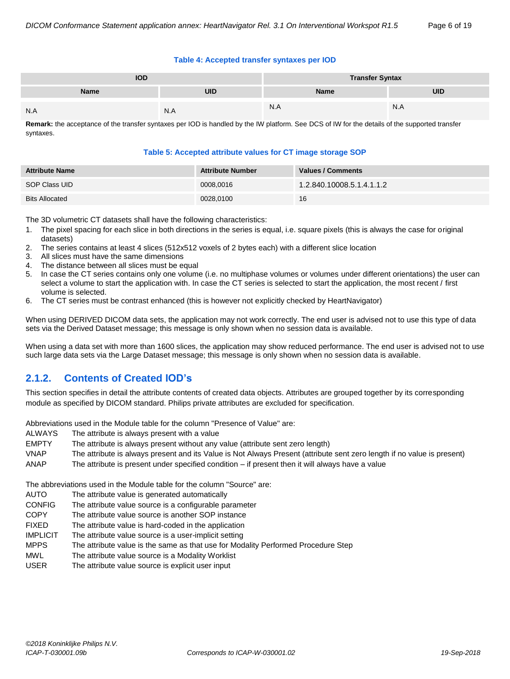#### **Table 4: Accepted transfer syntaxes per IOD**

| <b>IOD</b> |     | <b>Transfer Syntax</b> |            |  |
|------------|-----|------------------------|------------|--|
| Name       | uid | Name                   | <b>UID</b> |  |
| N.A        | N.A | N.A                    | N.A        |  |

**Remark:** the acceptance of the transfer syntaxes per IOD is handled by the IW platform. See DCS of IW for the details of the supported transfer syntaxes.

#### **Table 5: Accepted attribute values for CT image storage SOP**

| <b>Attribute Name</b> | <b>Attribute Number</b> | Values / Comments         |
|-----------------------|-------------------------|---------------------------|
| SOP Class UID         | 0008,0016               | 1.2.840.10008.5.1.4.1.1.2 |
| <b>Bits Allocated</b> | 0028,0100               | 16                        |

The 3D volumetric CT datasets shall have the following characteristics:

- 1. The pixel spacing for each slice in both directions in the series is equal, i.e. square pixels (this is always the case for original datasets)
- 2. The series contains at least 4 slices (512x512 voxels of 2 bytes each) with a different slice location
- 3. All slices must have the same dimensions
- 4. The distance between all slices must be equal
- 5. In case the CT series contains only one volume (i.e. no multiphase volumes or volumes under different orientations) the user can select a volume to start the application with. In case the CT series is selected to start the application, the most recent / first volume is selected.
- 6. The CT series must be contrast enhanced (this is however not explicitly checked by HeartNavigator)

When using DERIVED DICOM data sets, the application may not work correctly. The end user is advised not to use this type of data sets via the Derived Dataset message; this message is only shown when no session data is available.

When using a data set with more than 1600 slices, the application may show reduced performance. The end user is advised not to use such large data sets via the Large Dataset message; this message is only shown when no session data is available.

## <span id="page-5-0"></span>**2.1.2. Contents of Created IOD's**

This section specifies in detail the attribute contents of created data objects. Attributes are grouped together by its corresponding module as specified by DICOM standard. Philips private attributes are excluded for specification.

Abbreviations used in the Module table for the column "Presence of Value" are:

- ALWAYS The attribute is always present with a value
- EMPTY The attribute is always present without any value (attribute sent zero length)
- VNAP The attribute is always present and its Value is Not Always Present (attribute sent zero length if no value is present) ANAP The attribute is present under specified condition – if present then it will always have a value

The abbreviations used in the Module table for the column "Source" are:

- AUTO The attribute value is generated automatically
- CONFIG The attribute value source is a configurable parameter
- COPY The attribute value source is another SOP instance
- FIXED The attribute value is hard-coded in the application
- IMPLICIT The attribute value source is a user-implicit setting
- MPPS The attribute value is the same as that use for Modality Performed Procedure Step
- MWL The attribute value source is a Modality Worklist
- USER The attribute value source is explicit user input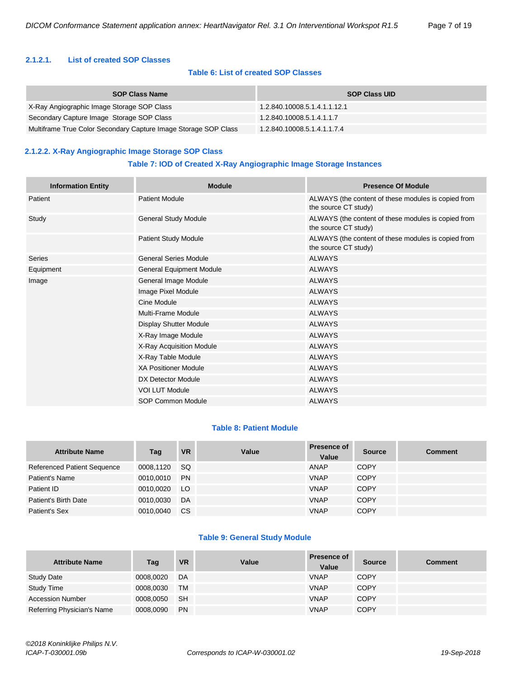#### <span id="page-6-0"></span>**2.1.2.1. List of created SOP Classes**

#### **Table 6: List of created SOP Classes**

| <b>SOP Class Name</b>                                           | <b>SOP Class UID</b>         |
|-----------------------------------------------------------------|------------------------------|
| X-Ray Angiographic Image Storage SOP Class                      | 1.2.840.10008.5.1.4.1.1.12.1 |
| Secondary Capture Image Storage SOP Class                       | 1.2.840.10008.5.1.4.1.1.7    |
| Multiframe True Color Secondary Capture Image Storage SOP Class | 1.2.840.10008.5.1.4.1.1.7.4  |

#### <span id="page-6-1"></span>**2.1.2.2. X-Ray Angiographic Image Storage SOP Class**

#### **Table 7: IOD of Created X-Ray Angiographic Image Storage Instances**

| <b>Information Entity</b> | <b>Module</b>                   | <b>Presence Of Module</b>                                                   |  |  |
|---------------------------|---------------------------------|-----------------------------------------------------------------------------|--|--|
| Patient                   | <b>Patient Module</b>           | ALWAYS (the content of these modules is copied from<br>the source CT study) |  |  |
| Study                     | General Study Module            | ALWAYS (the content of these modules is copied from<br>the source CT study) |  |  |
|                           | <b>Patient Study Module</b>     | ALWAYS (the content of these modules is copied from<br>the source CT study) |  |  |
| Series                    | <b>General Series Module</b>    | <b>ALWAYS</b>                                                               |  |  |
| Equipment                 | <b>General Equipment Module</b> | <b>ALWAYS</b>                                                               |  |  |
| Image                     | General Image Module            | <b>ALWAYS</b>                                                               |  |  |
|                           | Image Pixel Module              | <b>ALWAYS</b>                                                               |  |  |
|                           | Cine Module                     | <b>ALWAYS</b>                                                               |  |  |
|                           | Multi-Frame Module              | <b>ALWAYS</b>                                                               |  |  |
|                           | Display Shutter Module          | <b>ALWAYS</b>                                                               |  |  |
|                           | X-Ray Image Module              | <b>ALWAYS</b>                                                               |  |  |
|                           | X-Ray Acquisition Module        | <b>ALWAYS</b>                                                               |  |  |
|                           | X-Ray Table Module              | <b>ALWAYS</b>                                                               |  |  |
|                           | <b>XA Positioner Module</b>     | <b>ALWAYS</b>                                                               |  |  |
|                           | DX Detector Module              | <b>ALWAYS</b>                                                               |  |  |
|                           | <b>VOI LUT Module</b>           | <b>ALWAYS</b>                                                               |  |  |
|                           | <b>SOP Common Module</b>        | <b>ALWAYS</b>                                                               |  |  |

#### **Table 8: Patient Module**

| <b>Attribute Name</b>              | Tag       | <b>VR</b> | Value | <b>Presence of</b><br>Value | <b>Source</b> | <b>Comment</b> |
|------------------------------------|-----------|-----------|-------|-----------------------------|---------------|----------------|
| <b>Referenced Patient Sequence</b> | 0008.1120 | SQ.       |       | ANAP                        | <b>COPY</b>   |                |
| Patient's Name                     | 0010.0010 | <b>PN</b> |       | <b>VNAP</b>                 | <b>COPY</b>   |                |
| Patient ID                         | 0010.0020 | LO        |       | <b>VNAP</b>                 | <b>COPY</b>   |                |
| Patient's Birth Date               | 0010.0030 | DA        |       | <b>VNAP</b>                 | <b>COPY</b>   |                |
| Patient's Sex                      | 0010.0040 | CS.       |       | <b>VNAP</b>                 | <b>COPY</b>   |                |

#### **Table 9: General Study Module**

| <b>Attribute Name</b>      | Tag       | <b>VR</b> | Value | <b>Presence of</b><br>Value | <b>Source</b> | <b>Comment</b> |
|----------------------------|-----------|-----------|-------|-----------------------------|---------------|----------------|
| <b>Study Date</b>          | 0008,0020 | DA        |       | <b>VNAP</b>                 | <b>COPY</b>   |                |
| <b>Study Time</b>          | 0008,0030 | TM        |       | <b>VNAP</b>                 | <b>COPY</b>   |                |
| <b>Accession Number</b>    | 0008,0050 | <b>SH</b> |       | <b>VNAP</b>                 | <b>COPY</b>   |                |
| Referring Physician's Name | 0008,0090 | <b>PN</b> |       | <b>VNAP</b>                 | <b>COPY</b>   |                |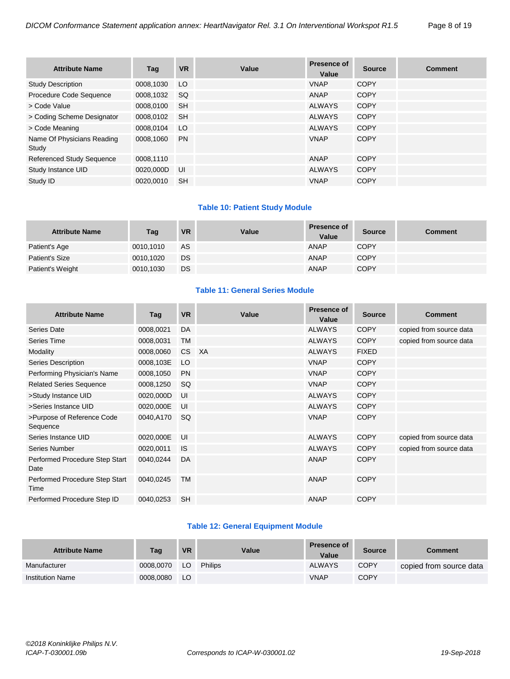| <b>Attribute Name</b>               | Taq       | <b>VR</b> | Value | <b>Presence of</b><br>Value | <b>Source</b> | <b>Comment</b> |
|-------------------------------------|-----------|-----------|-------|-----------------------------|---------------|----------------|
| <b>Study Description</b>            | 0008,1030 | LO        |       | <b>VNAP</b>                 | <b>COPY</b>   |                |
| Procedure Code Sequence             | 0008.1032 | SQ.       |       | ANAP                        | <b>COPY</b>   |                |
| > Code Value                        | 0008.0100 | <b>SH</b> |       | <b>ALWAYS</b>               | <b>COPY</b>   |                |
| > Coding Scheme Designator          | 0008,0102 | <b>SH</b> |       | <b>ALWAYS</b>               | <b>COPY</b>   |                |
| > Code Meaning                      | 0008.0104 | LO        |       | <b>ALWAYS</b>               | <b>COPY</b>   |                |
| Name Of Physicians Reading<br>Study | 0008.1060 | <b>PN</b> |       | <b>VNAP</b>                 | <b>COPY</b>   |                |
| <b>Referenced Study Sequence</b>    | 0008,1110 |           |       | <b>ANAP</b>                 | <b>COPY</b>   |                |
| Study Instance UID                  | 0020.000D | - UI      |       | <b>ALWAYS</b>               | <b>COPY</b>   |                |
| Study ID                            | 0020.0010 | <b>SH</b> |       | <b>VNAP</b>                 | <b>COPY</b>   |                |

#### **Table 10: Patient Study Module**

| <b>Attribute Name</b> | Tag       | <b>VR</b> | Value | <b>Presence of</b><br>Value | <b>Source</b> | <b>Comment</b> |
|-----------------------|-----------|-----------|-------|-----------------------------|---------------|----------------|
| Patient's Age         | 0010.1010 | AS        |       | <b>ANAP</b>                 | <b>COPY</b>   |                |
| Patient's Size        | 0010.1020 | <b>DS</b> |       | <b>ANAP</b>                 | <b>COPY</b>   |                |
| Patient's Weight      | 0010,1030 | <b>DS</b> |       | <b>ANAP</b>                 | <b>COPY</b>   |                |

#### **Table 11: General Series Module**

| <b>Attribute Name</b>                  | Tag       | <b>VR</b> | Value | <b>Presence of</b><br>Value | <b>Source</b> | <b>Comment</b>          |
|----------------------------------------|-----------|-----------|-------|-----------------------------|---------------|-------------------------|
| <b>Series Date</b>                     | 0008,0021 | DA        |       | <b>ALWAYS</b>               | <b>COPY</b>   | copied from source data |
| Series Time                            | 0008,0031 | <b>TM</b> |       | <b>ALWAYS</b>               | <b>COPY</b>   | copied from source data |
| Modality                               | 0008,0060 | CS XA     |       | <b>ALWAYS</b>               | <b>FIXED</b>  |                         |
| Series Description                     | 0008,103E | LO        |       | <b>VNAP</b>                 | <b>COPY</b>   |                         |
| Performing Physician's Name            | 0008,1050 | <b>PN</b> |       | <b>VNAP</b>                 | <b>COPY</b>   |                         |
| <b>Related Series Sequence</b>         | 0008,1250 | <b>SQ</b> |       | <b>VNAP</b>                 | <b>COPY</b>   |                         |
| >Study Instance UID                    | 0020,000D | UI        |       | <b>ALWAYS</b>               | <b>COPY</b>   |                         |
| >Series Instance UID                   | 0020,000E | UI        |       | <b>ALWAYS</b>               | <b>COPY</b>   |                         |
| >Purpose of Reference Code<br>Sequence | 0040,A170 | SQ.       |       | <b>VNAP</b>                 | <b>COPY</b>   |                         |
| Series Instance UID                    | 0020,000E | UI        |       | <b>ALWAYS</b>               | <b>COPY</b>   | copied from source data |
| Series Number                          | 0020,0011 | <b>IS</b> |       | <b>ALWAYS</b>               | <b>COPY</b>   | copied from source data |
| Performed Procedure Step Start<br>Date | 0040,0244 | DA        |       | ANAP                        | <b>COPY</b>   |                         |
| Performed Procedure Step Start<br>Time | 0040,0245 | <b>TM</b> |       | <b>ANAP</b>                 | <b>COPY</b>   |                         |
| Performed Procedure Step ID            | 0040,0253 | <b>SH</b> |       | <b>ANAP</b>                 | <b>COPY</b>   |                         |

#### **Table 12: General Equipment Module**

| <b>Attribute Name</b>   | Tag       | <b>VR</b> | Value          | <b>Presence of</b><br>Value | <b>Source</b> | <b>Comment</b>          |
|-------------------------|-----------|-----------|----------------|-----------------------------|---------------|-------------------------|
| Manufacturer            | 0008.0070 | LO        | <b>Philips</b> | <b>ALWAYS</b>               | <b>COPY</b>   | copied from source data |
| <b>Institution Name</b> | 0008.0080 | LO        |                | <b>VNAP</b>                 | <b>COPY</b>   |                         |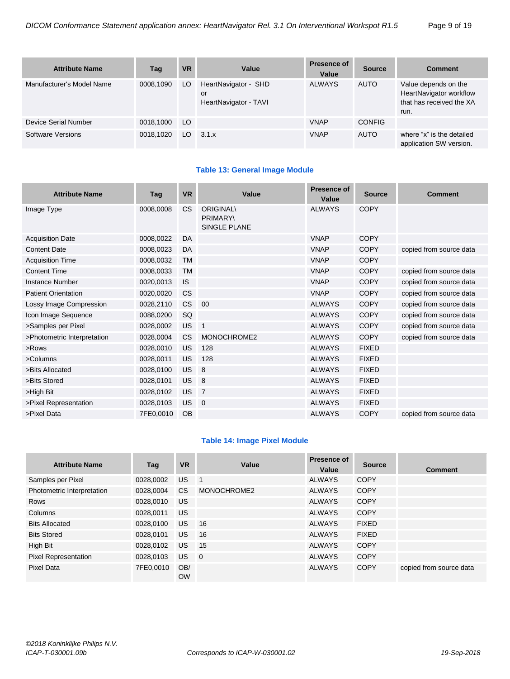| <b>Attribute Name</b>     | Tag       | <b>VR</b> | Value                                               | Presence of<br>Value | <b>Source</b> | <b>Comment</b>                                                                      |
|---------------------------|-----------|-----------|-----------------------------------------------------|----------------------|---------------|-------------------------------------------------------------------------------------|
| Manufacturer's Model Name | 0008.1090 | LO        | HeartNavigator - SHD<br>or<br>HeartNavigator - TAVI | <b>ALWAYS</b>        | <b>AUTO</b>   | Value depends on the<br>HeartNavigator workflow<br>that has received the XA<br>run. |
| Device Serial Number      | 0018,1000 | LO.       |                                                     | <b>VNAP</b>          | <b>CONFIG</b> |                                                                                     |
| Software Versions         | 0018.1020 | LO.       | 3.1.x                                               | <b>VNAP</b>          | <b>AUTO</b>   | where "x" is the detailed<br>application SW version.                                |

#### **Table 13: General Image Module**

| <b>Attribute Name</b>       | Tag       | <b>VR</b> | Value                                                     | Presence of<br>Value | <b>Source</b> | <b>Comment</b>          |
|-----------------------------|-----------|-----------|-----------------------------------------------------------|----------------------|---------------|-------------------------|
| Image Type                  | 0008.0008 | <b>CS</b> | <b>ORIGINAL</b><br><b>PRIMARY\</b><br><b>SINGLE PLANE</b> | <b>ALWAYS</b>        | <b>COPY</b>   |                         |
| <b>Acquisition Date</b>     | 0008,0022 | DA        |                                                           | <b>VNAP</b>          | <b>COPY</b>   |                         |
| <b>Content Date</b>         | 0008,0023 | DA        |                                                           | <b>VNAP</b>          | <b>COPY</b>   | copied from source data |
| <b>Acquisition Time</b>     | 0008,0032 | <b>TM</b> |                                                           | <b>VNAP</b>          | <b>COPY</b>   |                         |
| <b>Content Time</b>         | 0008,0033 | <b>TM</b> |                                                           | <b>VNAP</b>          | <b>COPY</b>   | copied from source data |
| Instance Number             | 0020,0013 | <b>IS</b> |                                                           | <b>VNAP</b>          | <b>COPY</b>   | copied from source data |
| <b>Patient Orientation</b>  | 0020,0020 | <b>CS</b> |                                                           | <b>VNAP</b>          | <b>COPY</b>   | copied from source data |
| Lossy Image Compression     | 0028,2110 | <b>CS</b> | 00                                                        | <b>ALWAYS</b>        | <b>COPY</b>   | copied from source data |
| Icon Image Sequence         | 0088,0200 | SQ        |                                                           | <b>ALWAYS</b>        | <b>COPY</b>   | copied from source data |
| >Samples per Pixel          | 0028,0002 | <b>US</b> | $\mathbf{1}$                                              | <b>ALWAYS</b>        | <b>COPY</b>   | copied from source data |
| >Photometric Interpretation | 0028,0004 | CS.       | MONOCHROME2                                               | <b>ALWAYS</b>        | <b>COPY</b>   | copied from source data |
| $>$ Rows                    | 0028,0010 | <b>US</b> | 128                                                       | <b>ALWAYS</b>        | <b>FIXED</b>  |                         |
| >Columns                    | 0028,0011 | <b>US</b> | 128                                                       | <b>ALWAYS</b>        | <b>FIXED</b>  |                         |
| >Bits Allocated             | 0028,0100 | <b>US</b> | 8                                                         | <b>ALWAYS</b>        | <b>FIXED</b>  |                         |
| >Bits Stored                | 0028,0101 | <b>US</b> | 8                                                         | <b>ALWAYS</b>        | <b>FIXED</b>  |                         |
| >High Bit                   | 0028,0102 | <b>US</b> | $\overline{7}$                                            | <b>ALWAYS</b>        | <b>FIXED</b>  |                         |
| >Pixel Representation       | 0028,0103 | <b>US</b> | $\overline{0}$                                            | <b>ALWAYS</b>        | <b>FIXED</b>  |                         |
| >Pixel Data                 | 7FE0,0010 | <b>OB</b> |                                                           | <b>ALWAYS</b>        | <b>COPY</b>   | copied from source data |

#### **Table 14: Image Pixel Module**

| <b>Attribute Name</b>      | Tag       | <b>VR</b>        | Value          | Presence of<br>Value | <b>Source</b> | <b>Comment</b>          |
|----------------------------|-----------|------------------|----------------|----------------------|---------------|-------------------------|
| Samples per Pixel          | 0028,0002 | <b>US</b>        | $\blacksquare$ | <b>ALWAYS</b>        | <b>COPY</b>   |                         |
| Photometric Interpretation | 0028,0004 | CS.              | MONOCHROME2    | <b>ALWAYS</b>        | <b>COPY</b>   |                         |
| <b>Rows</b>                | 0028.0010 | US.              |                | <b>ALWAYS</b>        | <b>COPY</b>   |                         |
| Columns                    | 0028,0011 | US.              |                | <b>ALWAYS</b>        | <b>COPY</b>   |                         |
| <b>Bits Allocated</b>      | 0028.0100 | US.              | 16             | <b>ALWAYS</b>        | <b>FIXED</b>  |                         |
| <b>Bits Stored</b>         | 0028,0101 | US.              | 16             | <b>ALWAYS</b>        | <b>FIXED</b>  |                         |
| High Bit                   | 0028,0102 | US.              | 15             | <b>ALWAYS</b>        | <b>COPY</b>   |                         |
| Pixel Representation       | 0028,0103 | US.              | $\overline{0}$ | <b>ALWAYS</b>        | <b>COPY</b>   |                         |
| <b>Pixel Data</b>          | 7FE0,0010 | OB/<br><b>OW</b> |                | <b>ALWAYS</b>        | <b>COPY</b>   | copied from source data |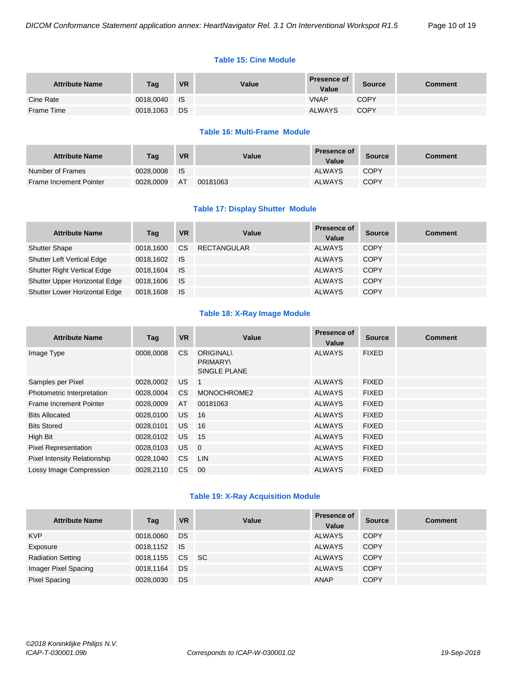#### **Table 15: Cine Module**

| <b>Attribute Name</b> | Tag       | <b>VR</b> | Value | <b>Presence of</b><br>Value | <b>Source</b> | Comment |
|-----------------------|-----------|-----------|-------|-----------------------------|---------------|---------|
| Cine Rate             | 0018,0040 | ⊟ IS      |       | <b>VNAP</b>                 | <b>COPY</b>   |         |
| Frame Time            | 0018,1063 | DS:       |       | <b>ALWAYS</b>               | <b>COPY</b>   |         |

#### **Table 16: Multi-Frame Module**

| <b>Attribute Name</b>          | Tag       | <b>VR</b> | Value    | <b>Presence of</b><br>Value | Source      | Comment |
|--------------------------------|-----------|-----------|----------|-----------------------------|-------------|---------|
| Number of Frames               | 0028.0008 | - IS      |          | <b>ALWAYS</b>               | <b>COPY</b> |         |
| <b>Frame Increment Pointer</b> | 0028.0009 | AT        | 00181063 | <b>ALWAYS</b>               | <b>COPY</b> |         |

#### **Table 17: Display Shutter Module**

| <b>Attribute Name</b>              | Tag          | <b>VR</b>   | Value              | <b>Presence of</b><br>Value | <b>Source</b> | <b>Comment</b> |
|------------------------------------|--------------|-------------|--------------------|-----------------------------|---------------|----------------|
| <b>Shutter Shape</b>               | 0018.1600    | CS.         | <b>RECTANGULAR</b> | <b>ALWAYS</b>               | <b>COPY</b>   |                |
| <b>Shutter Left Vertical Edge</b>  | 0018.1602 IS |             |                    | <b>ALWAYS</b>               | <b>COPY</b>   |                |
| <b>Shutter Right Vertical Edge</b> | 0018.1604    | <b>IS</b>   |                    | <b>ALWAYS</b>               | <b>COPY</b>   |                |
| Shutter Upper Horizontal Edge      | 0018,1606    | <b>I</b> IS |                    | <b>ALWAYS</b>               | <b>COPY</b>   |                |
| Shutter Lower Horizontal Edge      | 0018,1608    | - IS        |                    | <b>ALWAYS</b>               | <b>COPY</b>   |                |

#### **Table 18: X-Ray Image Module**

| <b>Attribute Name</b>               | Tag       | <b>VR</b> | Value                                               | <b>Presence of</b><br>Value | <b>Source</b> | <b>Comment</b> |
|-------------------------------------|-----------|-----------|-----------------------------------------------------|-----------------------------|---------------|----------------|
| Image Type                          | 0008,0008 | CS.       | <b>ORIGINAL\</b><br><b>PRIMARY\</b><br>SINGLE PLANE | <b>ALWAYS</b>               | <b>FIXED</b>  |                |
| Samples per Pixel                   | 0028,0002 | US.       | $\overline{1}$                                      | <b>ALWAYS</b>               | <b>FIXED</b>  |                |
| Photometric Interpretation          | 0028,0004 | CS.       | MONOCHROME2                                         | <b>ALWAYS</b>               | <b>FIXED</b>  |                |
| Frame Increment Pointer             | 0028,0009 | AT        | 00181063                                            | <b>ALWAYS</b>               | <b>FIXED</b>  |                |
| <b>Bits Allocated</b>               | 0028,0100 | <b>US</b> | 16                                                  | <b>ALWAYS</b>               | <b>FIXED</b>  |                |
| <b>Bits Stored</b>                  | 0028,0101 | <b>US</b> | 16                                                  | <b>ALWAYS</b>               | <b>FIXED</b>  |                |
| High Bit                            | 0028,0102 | US.       | 15                                                  | <b>ALWAYS</b>               | <b>FIXED</b>  |                |
| <b>Pixel Representation</b>         | 0028,0103 | US.       | $\overline{0}$                                      | <b>ALWAYS</b>               | <b>FIXED</b>  |                |
| <b>Pixel Intensity Relationship</b> | 0028,1040 | CS.       | <b>LIN</b>                                          | <b>ALWAYS</b>               | <b>FIXED</b>  |                |
| Lossy Image Compression             | 0028.2110 | CS.       | 00                                                  | <b>ALWAYS</b>               | <b>FIXED</b>  |                |

#### **Table 19: X-Ray Acquisition Module**

| <b>Attribute Name</b>    | Tag       | <b>VR</b> | Value | <b>Presence of</b><br>Value | <b>Source</b> | <b>Comment</b> |
|--------------------------|-----------|-----------|-------|-----------------------------|---------------|----------------|
| <b>KVP</b>               | 0018,0060 | DS        |       | <b>ALWAYS</b>               | <b>COPY</b>   |                |
| Exposure                 | 0018,1152 | <b>IS</b> |       | <b>ALWAYS</b>               | <b>COPY</b>   |                |
| <b>Radiation Setting</b> | 0018,1155 | CS SC     |       | <b>ALWAYS</b>               | <b>COPY</b>   |                |
| Imager Pixel Spacing     | 0018,1164 | DS        |       | <b>ALWAYS</b>               | <b>COPY</b>   |                |
| <b>Pixel Spacing</b>     | 0028,0030 | DS        |       | ANAP                        | <b>COPY</b>   |                |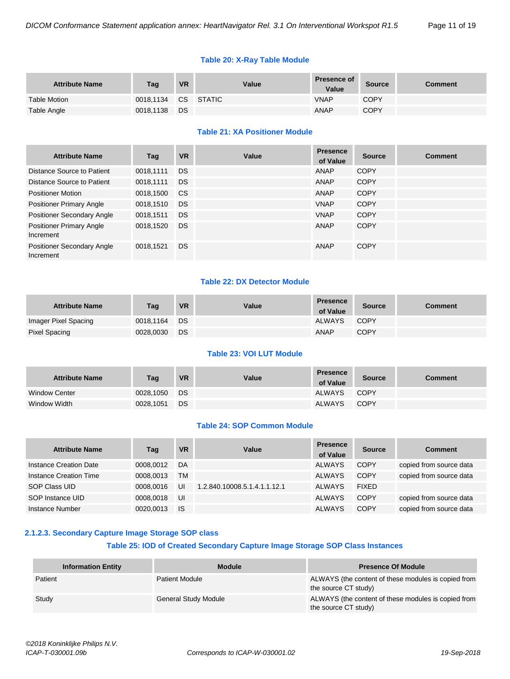#### **Table 20: X-Ray Table Module**

| <b>Attribute Name</b> | Tag       | <b>VR</b> | Value     | <b>Presence of</b><br>Value | <b>Source</b> | Comment |
|-----------------------|-----------|-----------|-----------|-----------------------------|---------------|---------|
| <b>Table Motion</b>   | 0018.1134 |           | CS STATIC | <b>VNAP</b>                 | <b>COPY</b>   |         |
| Table Angle           | 0018,1138 | DS        |           | <b>ANAP</b>                 | <b>COPY</b>   |         |

#### **Table 21: XA Positioner Module**

| <b>Attribute Name</b>                          | Taq       | <b>VR</b> | Value | <b>Presence</b><br>of Value | <b>Source</b> | <b>Comment</b> |
|------------------------------------------------|-----------|-----------|-------|-----------------------------|---------------|----------------|
| Distance Source to Patient                     | 0018.1111 | DS.       |       | ANAP                        | <b>COPY</b>   |                |
| Distance Source to Patient                     | 0018,1111 | <b>DS</b> |       | ANAP                        | <b>COPY</b>   |                |
| <b>Positioner Motion</b>                       | 0018,1500 | <b>CS</b> |       | ANAP                        | <b>COPY</b>   |                |
| <b>Positioner Primary Angle</b>                | 0018,1510 | <b>DS</b> |       | <b>VNAP</b>                 | <b>COPY</b>   |                |
| <b>Positioner Secondary Angle</b>              | 0018,1511 | <b>DS</b> |       | <b>VNAP</b>                 | <b>COPY</b>   |                |
| <b>Positioner Primary Angle</b><br>Increment   | 0018,1520 | <b>DS</b> |       | ANAP                        | <b>COPY</b>   |                |
| <b>Positioner Secondary Angle</b><br>Increment | 0018,1521 | <b>DS</b> |       | ANAP                        | COPY          |                |

#### **Table 22: DX Detector Module**

| <b>Attribute Name</b> | Taq       | <b>VR</b> | Value | <b>Presence</b><br>of Value | <b>Source</b> | Comment |
|-----------------------|-----------|-----------|-------|-----------------------------|---------------|---------|
| Imager Pixel Spacing  | 0018.1164 | DS        |       | <b>ALWAYS</b>               | COPY          |         |
| Pixel Spacing         | 0028.0030 | DS        |       | ANAP                        | <b>COPY</b>   |         |

#### **Table 23: VOI LUT Module**

| <b>Attribute Name</b> | Tag       | <b>VR</b> | Value | <b>Presence</b><br>of Value | <b>Source</b> | Comment |
|-----------------------|-----------|-----------|-------|-----------------------------|---------------|---------|
| <b>Window Center</b>  | 0028,1050 | DS        |       | ALWAYS                      | COPY          |         |
| Window Width          | 0028.1051 | DS        |       | <b>ALWAYS</b>               | COPY          |         |

#### **Table 24: SOP Common Module**

| <b>Attribute Name</b>  | Tag       | <b>VR</b> | Value                        | <b>Presence</b><br>of Value | <b>Source</b> | <b>Comment</b>          |
|------------------------|-----------|-----------|------------------------------|-----------------------------|---------------|-------------------------|
| Instance Creation Date | 0008.0012 | DA        |                              | <b>ALWAYS</b>               | <b>COPY</b>   | copied from source data |
| Instance Creation Time | 0008.0013 | <b>TM</b> |                              | <b>ALWAYS</b>               | <b>COPY</b>   | copied from source data |
| SOP Class UID          | 0008.0016 | UI        | 1.2.840.10008.5.1.4.1.1.12.1 | <b>ALWAYS</b>               | <b>FIXED</b>  |                         |
| SOP Instance UID       | 0008.0018 | IJI       |                              | <b>ALWAYS</b>               | <b>COPY</b>   | copied from source data |
| Instance Number        | 0020.0013 | <b>IS</b> |                              | <b>ALWAYS</b>               | <b>COPY</b>   | copied from source data |

#### <span id="page-10-0"></span>**2.1.2.3. Secondary Capture Image Storage SOP class**

#### **Table 25: IOD of Created Secondary Capture Image Storage SOP Class Instances**

| <b>Information Entity</b> | <b>Module</b>         | <b>Presence Of Module</b>                                                   |
|---------------------------|-----------------------|-----------------------------------------------------------------------------|
| Patient                   | <b>Patient Module</b> | ALWAYS (the content of these modules is copied from<br>the source CT study) |
| Study                     | General Study Module  | ALWAYS (the content of these modules is copied from<br>the source CT study) |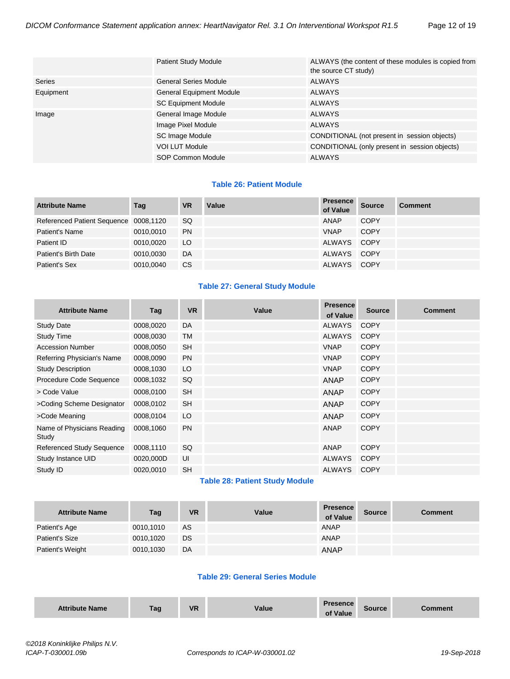|           | <b>Patient Study Module</b>     | ALWAYS (the content of these modules is copied from<br>the source CT study) |  |  |
|-----------|---------------------------------|-----------------------------------------------------------------------------|--|--|
| Series    | <b>General Series Module</b>    | <b>ALWAYS</b>                                                               |  |  |
| Equipment | <b>General Equipment Module</b> | <b>ALWAYS</b>                                                               |  |  |
|           | <b>SC Equipment Module</b>      | <b>ALWAYS</b>                                                               |  |  |
| Image     | General Image Module            | <b>ALWAYS</b>                                                               |  |  |
|           | Image Pixel Module              | <b>ALWAYS</b>                                                               |  |  |
|           | SC Image Module                 | CONDITIONAL (not present in session objects)                                |  |  |
|           | <b>VOI LUT Module</b>           | CONDITIONAL (only present in session objects)                               |  |  |
|           | SOP Common Module               | <b>ALWAYS</b>                                                               |  |  |

#### **Table 26: Patient Module**

| <b>Attribute Name</b>                 | Tag       | <b>VR</b> | Value | <b>Presence</b><br>of Value | <b>Source</b> | <b>Comment</b> |
|---------------------------------------|-----------|-----------|-------|-----------------------------|---------------|----------------|
| Referenced Patient Sequence 0008,1120 |           | SQ.       |       | ANAP                        | <b>COPY</b>   |                |
| Patient's Name                        | 0010.0010 | <b>PN</b> |       | <b>VNAP</b>                 | <b>COPY</b>   |                |
| Patient ID                            | 0010.0020 | LO.       |       | ALWAYS COPY                 |               |                |
| Patient's Birth Date                  | 0010.0030 | DA        |       | ALWAYS COPY                 |               |                |
| Patient's Sex                         | 0010.0040 | <b>CS</b> |       | ALWAYS COPY                 |               |                |

#### **Table 27: General Study Module**

| <b>Attribute Name</b>               | Tag       | <b>VR</b> | Value | <b>Presence</b><br>of Value | <b>Source</b> | <b>Comment</b> |
|-------------------------------------|-----------|-----------|-------|-----------------------------|---------------|----------------|
| <b>Study Date</b>                   | 0008,0020 | <b>DA</b> |       | <b>ALWAYS</b>               | <b>COPY</b>   |                |
| <b>Study Time</b>                   | 0008,0030 | <b>TM</b> |       | <b>ALWAYS</b>               | <b>COPY</b>   |                |
| <b>Accession Number</b>             | 0008,0050 | <b>SH</b> |       | <b>VNAP</b>                 | <b>COPY</b>   |                |
| Referring Physician's Name          | 0008,0090 | <b>PN</b> |       | <b>VNAP</b>                 | <b>COPY</b>   |                |
| <b>Study Description</b>            | 0008,1030 | LO        |       | <b>VNAP</b>                 | <b>COPY</b>   |                |
| Procedure Code Sequence             | 0008,1032 | SQ        |       | <b>ANAP</b>                 | <b>COPY</b>   |                |
| > Code Value                        | 0008,0100 | <b>SH</b> |       | <b>ANAP</b>                 | <b>COPY</b>   |                |
| >Coding Scheme Designator           | 0008,0102 | <b>SH</b> |       | <b>ANAP</b>                 | <b>COPY</b>   |                |
| >Code Meaning                       | 0008,0104 | LO        |       | <b>ANAP</b>                 | <b>COPY</b>   |                |
| Name of Physicians Reading<br>Study | 0008,1060 | <b>PN</b> |       | <b>ANAP</b>                 | <b>COPY</b>   |                |
| <b>Referenced Study Sequence</b>    | 0008,1110 | <b>SQ</b> |       | <b>ANAP</b>                 | <b>COPY</b>   |                |
| Study Instance UID                  | 0020,000D | UI        |       | ALWAYS                      | <b>COPY</b>   |                |
| Study ID                            | 0020,0010 | <b>SH</b> |       | <b>ALWAYS</b>               | <b>COPY</b>   |                |

## **Table 28: Patient Study Module**

| <b>Attribute Name</b> | Tag       | <b>VR</b> | Value | <b>Presence</b><br>of Value | <b>Source</b> | <b>Comment</b> |
|-----------------------|-----------|-----------|-------|-----------------------------|---------------|----------------|
| Patient's Age         | 0010,1010 | AS.       |       | ANAP                        |               |                |
| Patient's Size        | 0010,1020 | DS.       |       | ANAP                        |               |                |
| Patient's Weight      | 0010,1030 | <b>DA</b> |       | <b>ANAP</b>                 |               |                |

#### **Table 29: General Series Module**

| <b>Attribute Name</b> | Tag | <b>VR</b> | Value | <b>Presence</b><br>of Value | Source | Comment |
|-----------------------|-----|-----------|-------|-----------------------------|--------|---------|
|-----------------------|-----|-----------|-------|-----------------------------|--------|---------|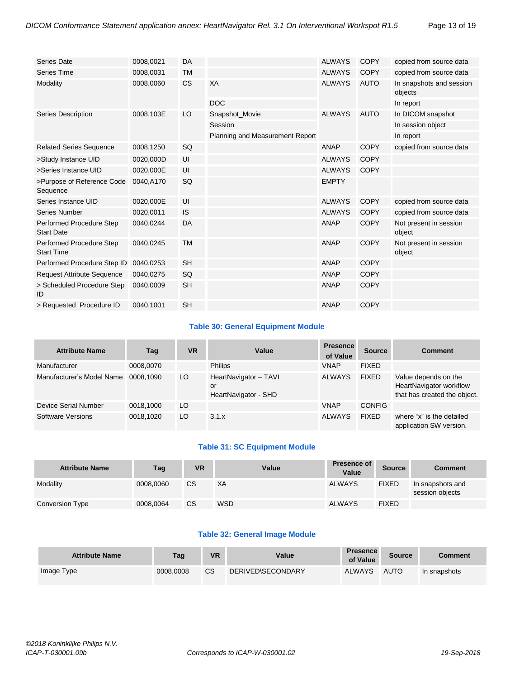| Series Date                                   | 0008,0021 | DA        |                                 | <b>ALWAYS</b> | <b>COPY</b> | copied from source data             |
|-----------------------------------------------|-----------|-----------|---------------------------------|---------------|-------------|-------------------------------------|
| Series Time                                   | 0008,0031 | <b>TM</b> |                                 | <b>ALWAYS</b> | <b>COPY</b> | copied from source data             |
| Modality                                      | 0008,0060 | <b>CS</b> | XA                              | <b>ALWAYS</b> | <b>AUTO</b> | In snapshots and session<br>objects |
|                                               |           |           | <b>DOC</b>                      |               |             | In report                           |
| <b>Series Description</b>                     | 0008,103E | LO        | Snapshot_Movie                  | <b>ALWAYS</b> | <b>AUTO</b> | In DICOM snapshot                   |
|                                               |           |           | Session                         |               |             | In session object                   |
|                                               |           |           | Planning and Measurement Report |               |             | In report                           |
| <b>Related Series Sequence</b>                | 0008,1250 | SQ        |                                 | <b>ANAP</b>   | <b>COPY</b> | copied from source data             |
| >Study Instance UID                           | 0020,000D | UI        |                                 | <b>ALWAYS</b> | <b>COPY</b> |                                     |
| >Series Instance UID                          | 0020,000E | UI        |                                 | <b>ALWAYS</b> | <b>COPY</b> |                                     |
| >Purpose of Reference Code<br>Sequence        | 0040,A170 | SQ        |                                 | <b>EMPTY</b>  |             |                                     |
| Series Instance UID                           | 0020,000E | UI        |                                 | <b>ALWAYS</b> | <b>COPY</b> | copied from source data             |
| Series Number                                 | 0020,0011 | <b>IS</b> |                                 | <b>ALWAYS</b> | <b>COPY</b> | copied from source data             |
| Performed Procedure Step<br><b>Start Date</b> | 0040,0244 | DA        |                                 | <b>ANAP</b>   | <b>COPY</b> | Not present in session<br>object    |
| Performed Procedure Step<br><b>Start Time</b> | 0040,0245 | <b>TM</b> |                                 | <b>ANAP</b>   | <b>COPY</b> | Not present in session<br>object    |
| Performed Procedure Step ID                   | 0040,0253 | <b>SH</b> |                                 | <b>ANAP</b>   | <b>COPY</b> |                                     |
| <b>Request Attribute Sequence</b>             | 0040,0275 | SQ        |                                 | <b>ANAP</b>   | <b>COPY</b> |                                     |
| > Scheduled Procedure Step<br>ID              | 0040,0009 | <b>SH</b> |                                 | <b>ANAP</b>   | <b>COPY</b> |                                     |
| > Requested Procedure ID                      | 0040,1001 | <b>SH</b> |                                 | <b>ANAP</b>   | <b>COPY</b> |                                     |

#### **Table 30: General Equipment Module**

| <b>Attribute Name</b>     | Tag       | <b>VR</b> | Value                                               | <b>Presence</b><br>of Value | <b>Source</b> | <b>Comment</b>                                                                  |
|---------------------------|-----------|-----------|-----------------------------------------------------|-----------------------------|---------------|---------------------------------------------------------------------------------|
| Manufacturer              | 0008,0070 |           | <b>Philips</b>                                      | <b>VNAP</b>                 | <b>FIXED</b>  |                                                                                 |
| Manufacturer's Model Name | 0008.1090 | LO        | HeartNavigator - TAVI<br>or<br>HeartNavigator - SHD | <b>ALWAYS</b>               | <b>FIXED</b>  | Value depends on the<br>HeartNavigator workflow<br>that has created the object. |
| Device Serial Number      | 0018,1000 | LO        |                                                     | <b>VNAP</b>                 | <b>CONFIG</b> |                                                                                 |
| Software Versions         | 0018,1020 | LO        | 3.1.x                                               | <b>ALWAYS</b>               | <b>FIXED</b>  | where "x" is the detailed<br>application SW version.                            |

#### **Table 31: SC Equipment Module**

| <b>Attribute Name</b> | Tag       | <b>VR</b> | Value      | <b>Presence of</b><br>Value | <b>Source</b> | <b>Comment</b>                      |
|-----------------------|-----------|-----------|------------|-----------------------------|---------------|-------------------------------------|
| Modality              | 0008.0060 | CS.       | ХA         | <b>ALWAYS</b>               | <b>FIXED</b>  | In snapshots and<br>session objects |
| Conversion Type       | 0008.0064 | CS.       | <b>WSD</b> | <b>ALWAYS</b>               | <b>FIXED</b>  |                                     |

#### **Table 32: General Image Module**

| <b>Attribute Name</b> | Tag       | <b>VR</b> | Value             | <b>Presence</b><br>of Value | <b>Source</b> | <b>Comment</b> |
|-----------------------|-----------|-----------|-------------------|-----------------------------|---------------|----------------|
| Image Type            | 0008.0008 | <b>CS</b> | DERIVED\SECONDARY | <b>ALWAYS</b>               | <b>AUTO</b>   | In snapshots   |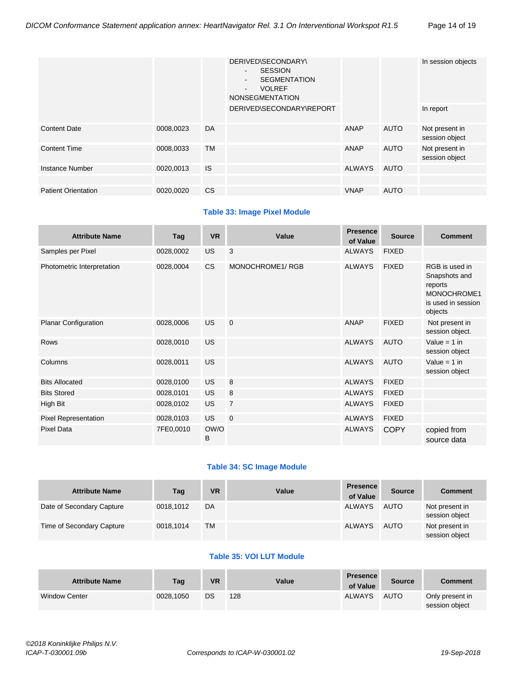|                            |           |           | DERIVED\SECONDARY\<br><b>SESSION</b><br>$\sim$<br><b>SEGMENTATION</b><br>$\sim$<br><b>VOLREF</b><br>$\sim$<br><b>NONSEGMENTATION</b> |             |             | In session objects               |
|----------------------------|-----------|-----------|--------------------------------------------------------------------------------------------------------------------------------------|-------------|-------------|----------------------------------|
|                            |           |           | DERIVED\SECONDARY\REPORT                                                                                                             |             |             | In report                        |
| <b>Content Date</b>        | 0008,0023 | DA        |                                                                                                                                      | ANAP        | <b>AUTO</b> | Not present in<br>session object |
| <b>Content Time</b>        | 0008,0033 | <b>TM</b> |                                                                                                                                      | ANAP        | <b>AUTO</b> | Not present in<br>session object |
| Instance Number            | 0020,0013 | <b>IS</b> |                                                                                                                                      | ALWAYS      | <b>AUTO</b> |                                  |
|                            |           |           |                                                                                                                                      |             |             |                                  |
| <b>Patient Orientation</b> | 0020,0020 | <b>CS</b> |                                                                                                                                      | <b>VNAP</b> | <b>AUTO</b> |                                  |

#### **Table 33: Image Pixel Module**

| <b>Attribute Name</b>       | Tag       | <b>VR</b> | Value           | <b>Presence</b><br>of Value | <b>Source</b> | <b>Comment</b>                                                                             |
|-----------------------------|-----------|-----------|-----------------|-----------------------------|---------------|--------------------------------------------------------------------------------------------|
| Samples per Pixel           | 0028,0002 | <b>US</b> | 3               | <b>ALWAYS</b>               | <b>FIXED</b>  |                                                                                            |
| Photometric Interpretation  | 0028,0004 | CS        | MONOCHROME1/RGB | <b>ALWAYS</b>               | <b>FIXED</b>  | RGB is used in<br>Snapshots and<br>reports<br>MONOCHROME1<br>is used in session<br>objects |
| <b>Planar Configuration</b> | 0028,0006 | <b>US</b> | $\mathbf 0$     | ANAP                        | <b>FIXED</b>  | Not present in<br>session object.                                                          |
| <b>Rows</b>                 | 0028,0010 | <b>US</b> |                 | <b>ALWAYS</b>               | <b>AUTO</b>   | Value = $1$ in<br>session object                                                           |
| Columns                     | 0028,0011 | <b>US</b> |                 | <b>ALWAYS</b>               | <b>AUTO</b>   | Value = $1$ in<br>session object                                                           |
| <b>Bits Allocated</b>       | 0028,0100 | <b>US</b> | 8               | <b>ALWAYS</b>               | <b>FIXED</b>  |                                                                                            |
| <b>Bits Stored</b>          | 0028,0101 | <b>US</b> | 8               | <b>ALWAYS</b>               | <b>FIXED</b>  |                                                                                            |
| High Bit                    | 0028,0102 | <b>US</b> | $\overline{7}$  | <b>ALWAYS</b>               | <b>FIXED</b>  |                                                                                            |
| Pixel Representation        | 0028,0103 | <b>US</b> | $\mathbf 0$     | <b>ALWAYS</b>               | <b>FIXED</b>  |                                                                                            |
| <b>Pixel Data</b>           | 7FE0,0010 | OW/O<br>B |                 | <b>ALWAYS</b>               | <b>COPY</b>   | copied from<br>source data                                                                 |

#### **Table 34: SC Image Module**

| <b>Attribute Name</b>     | Tag       | VR | Value | <b>Presence</b><br>of Value | <b>Source</b> | <b>Comment</b>                   |
|---------------------------|-----------|----|-------|-----------------------------|---------------|----------------------------------|
| Date of Secondary Capture | 0018.1012 | DA |       | <b>ALWAYS</b>               | <b>AUTO</b>   | Not present in<br>session object |
| Time of Secondary Capture | 0018,1014 | TM |       | <b>ALWAYS</b>               | <b>AUTO</b>   | Not present in<br>session object |

## **Table 35: VOI LUT Module**

| <b>Attribute Name</b> | Tag       | VR | Value | <b>Presence</b><br>of Value | Source      | <b>Comment</b>                    |
|-----------------------|-----------|----|-------|-----------------------------|-------------|-----------------------------------|
| <b>Window Center</b>  | 0028.1050 | DS | 128   | <b>ALWAYS</b>               | <b>AUTO</b> | Only present in<br>session object |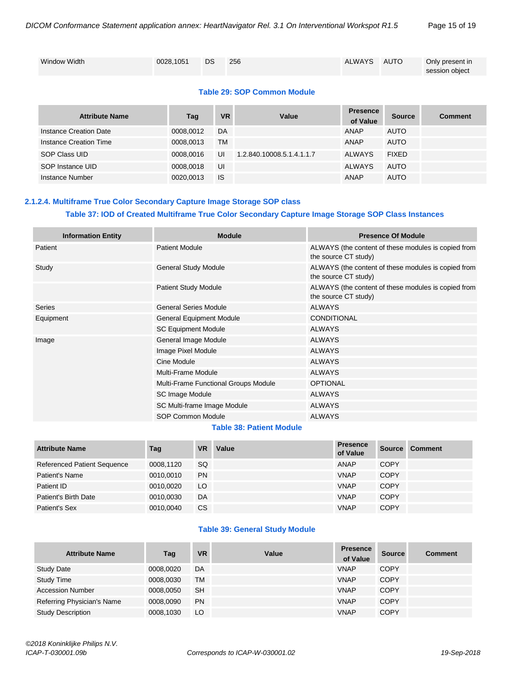| <b>Window Width</b> | 0028.1051 DS | 256 | ALWAYS AUTO | Only present in |
|---------------------|--------------|-----|-------------|-----------------|
|                     |              |     |             |                 |
|                     |              |     |             |                 |
|                     |              |     |             | session object  |
|                     |              |     |             |                 |

#### **Table 29: SOP Common Module**

| <b>Attribute Name</b>  | Tag       | <b>VR</b> | Value                     | <b>Presence</b><br>of Value | <b>Source</b> | <b>Comment</b> |
|------------------------|-----------|-----------|---------------------------|-----------------------------|---------------|----------------|
| Instance Creation Date | 0008.0012 | DA        |                           | ANAP                        | <b>AUTO</b>   |                |
| Instance Creation Time | 0008,0013 | TM        |                           | ANAP                        | <b>AUTO</b>   |                |
| SOP Class UID          | 0008.0016 | UI        | 1.2.840.10008.5.1.4.1.1.7 | ALWAYS                      | <b>FIXED</b>  |                |
| SOP Instance UID       | 0008.0018 | UI        |                           | ALWAYS                      | <b>AUTO</b>   |                |
| Instance Number        | 0020,0013 | <b>IS</b> |                           | ANAP                        | <b>AUTO</b>   |                |

## <span id="page-14-0"></span>**2.1.2.4. Multiframe True Color Secondary Capture Image Storage SOP class Table 37: IOD of Created Multiframe True Color Secondary Capture Image Storage SOP Class Instances**

| <b>Information Entity</b> | <b>Module</b>                        | <b>Presence Of Module</b>                                                   |  |  |  |
|---------------------------|--------------------------------------|-----------------------------------------------------------------------------|--|--|--|
| Patient                   | <b>Patient Module</b>                | ALWAYS (the content of these modules is copied from<br>the source CT study) |  |  |  |
| Study                     | <b>General Study Module</b>          | ALWAYS (the content of these modules is copied from<br>the source CT study) |  |  |  |
|                           | <b>Patient Study Module</b>          | ALWAYS (the content of these modules is copied from<br>the source CT study) |  |  |  |
| Series                    | <b>General Series Module</b>         | <b>ALWAYS</b>                                                               |  |  |  |
| Equipment                 | <b>General Equipment Module</b>      | <b>CONDITIONAL</b>                                                          |  |  |  |
|                           | <b>SC Equipment Module</b>           | <b>ALWAYS</b>                                                               |  |  |  |
| Image                     | General Image Module                 | <b>ALWAYS</b>                                                               |  |  |  |
|                           | Image Pixel Module                   | <b>ALWAYS</b>                                                               |  |  |  |
|                           | Cine Module                          | <b>ALWAYS</b>                                                               |  |  |  |
|                           | <b>Multi-Frame Module</b>            | <b>ALWAYS</b>                                                               |  |  |  |
|                           | Multi-Frame Functional Groups Module | <b>OPTIONAL</b>                                                             |  |  |  |
|                           | SC Image Module                      | <b>ALWAYS</b>                                                               |  |  |  |
|                           | SC Multi-frame Image Module          | <b>ALWAYS</b>                                                               |  |  |  |
|                           | SOP Common Module                    | <b>ALWAYS</b>                                                               |  |  |  |

#### **Table 38: Patient Module**

| <b>Attribute Name</b>              | Tag       | <b>VR</b> | Value | <b>Presence</b><br>of Value | <b>Source</b> | <b>Comment</b> |
|------------------------------------|-----------|-----------|-------|-----------------------------|---------------|----------------|
| <b>Referenced Patient Sequence</b> | 0008,1120 | SQ        |       | ANAP                        | <b>COPY</b>   |                |
| Patient's Name                     | 0010,0010 | <b>PN</b> |       | <b>VNAP</b>                 | <b>COPY</b>   |                |
| Patient ID                         | 0010.0020 | LO        |       | <b>VNAP</b>                 | <b>COPY</b>   |                |
| Patient's Birth Date               | 0010,0030 | DA        |       | <b>VNAP</b>                 | <b>COPY</b>   |                |
| Patient's Sex                      | 0010,0040 | CS        |       | <b>VNAP</b>                 | <b>COPY</b>   |                |

#### **Table 39: General Study Module**

| <b>Attribute Name</b>      | Tag       | <b>VR</b> | Value | <b>Presence</b><br>of Value | <b>Source</b> | <b>Comment</b> |
|----------------------------|-----------|-----------|-------|-----------------------------|---------------|----------------|
| <b>Study Date</b>          | 0008,0020 | DA        |       | <b>VNAP</b>                 | <b>COPY</b>   |                |
| <b>Study Time</b>          | 0008,0030 | <b>TM</b> |       | <b>VNAP</b>                 | <b>COPY</b>   |                |
| <b>Accession Number</b>    | 0008.0050 | <b>SH</b> |       | <b>VNAP</b>                 | <b>COPY</b>   |                |
| Referring Physician's Name | 0008.0090 | <b>PN</b> |       | <b>VNAP</b>                 | <b>COPY</b>   |                |
| <b>Study Description</b>   | 0008,1030 | LO        |       | <b>VNAP</b>                 | <b>COPY</b>   |                |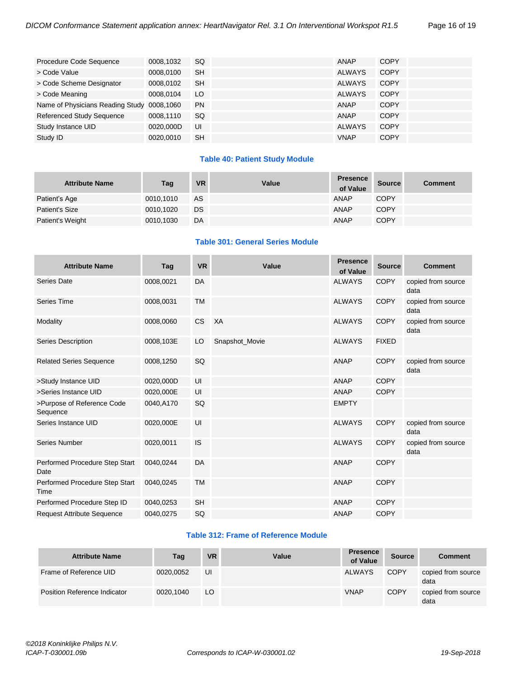| Procedure Code Sequence          | 0008,1032 | <b>SQ</b> | ANAP          | <b>COPY</b> |
|----------------------------------|-----------|-----------|---------------|-------------|
| > Code Value                     | 0008,0100 | <b>SH</b> | <b>ALWAYS</b> | <b>COPY</b> |
| > Code Scheme Designator         | 0008,0102 | <b>SH</b> | <b>ALWAYS</b> | <b>COPY</b> |
| > Code Meaning                   | 0008,0104 | LO        | <b>ALWAYS</b> | <b>COPY</b> |
| Name of Physicians Reading Study | 0008,1060 | <b>PN</b> | ANAP          | <b>COPY</b> |
| <b>Referenced Study Sequence</b> | 0008,1110 | <b>SQ</b> | ANAP          | <b>COPY</b> |
| Study Instance UID               | 0020,000D | UI        | <b>ALWAYS</b> | <b>COPY</b> |
| Study ID                         | 0020,0010 | <b>SH</b> | <b>VNAP</b>   | <b>COPY</b> |

#### **Table 40: Patient Study Module**

| <b>Attribute Name</b> | Tag       | <b>VR</b> | Value | <b>Presence</b><br>of Value | Source      | <b>Comment</b> |
|-----------------------|-----------|-----------|-------|-----------------------------|-------------|----------------|
| Patient's Age         | 0010,1010 | AS        |       | <b>ANAP</b>                 | <b>COPY</b> |                |
| <b>Patient's Size</b> | 0010,1020 | DS        |       | <b>ANAP</b>                 | <b>COPY</b> |                |
| Patient's Weight      | 0010,1030 | DA        |       | <b>ANAP</b>                 | <b>COPY</b> |                |

#### **Table 301: General Series Module**

| <b>Attribute Name</b>                  | Tag       | <b>VR</b> | Value          | <b>Presence</b><br>of Value | <b>Source</b> | <b>Comment</b>             |
|----------------------------------------|-----------|-----------|----------------|-----------------------------|---------------|----------------------------|
| Series Date                            | 0008,0021 | DA        |                | <b>ALWAYS</b>               | <b>COPY</b>   | copied from source<br>data |
| Series Time                            | 0008,0031 | <b>TM</b> |                | <b>ALWAYS</b>               | <b>COPY</b>   | copied from source<br>data |
| Modality                               | 0008,0060 | <b>CS</b> | XA             | <b>ALWAYS</b>               | <b>COPY</b>   | copied from source<br>data |
| Series Description                     | 0008,103E | LO        | Snapshot_Movie | <b>ALWAYS</b>               | <b>FIXED</b>  |                            |
| <b>Related Series Sequence</b>         | 0008,1250 | SQ        |                | <b>ANAP</b>                 | <b>COPY</b>   | copied from source<br>data |
| >Study Instance UID                    | 0020,000D | UI        |                | <b>ANAP</b>                 | <b>COPY</b>   |                            |
| >Series Instance UID                   | 0020,000E | UI        |                | <b>ANAP</b>                 | <b>COPY</b>   |                            |
| >Purpose of Reference Code<br>Sequence | 0040,A170 | SQ        |                | <b>EMPTY</b>                |               |                            |
| Series Instance UID                    | 0020,000E | UI        |                | <b>ALWAYS</b>               | <b>COPY</b>   | copied from source<br>data |
| Series Number                          | 0020,0011 | <b>IS</b> |                | <b>ALWAYS</b>               | <b>COPY</b>   | copied from source<br>data |
| Performed Procedure Step Start<br>Date | 0040,0244 | DA        |                | <b>ANAP</b>                 | <b>COPY</b>   |                            |
| Performed Procedure Step Start<br>Time | 0040,0245 | <b>TM</b> |                | <b>ANAP</b>                 | <b>COPY</b>   |                            |
| Performed Procedure Step ID            | 0040,0253 | <b>SH</b> |                | <b>ANAP</b>                 | <b>COPY</b>   |                            |
| <b>Request Attribute Sequence</b>      | 0040,0275 | SQ        |                | <b>ANAP</b>                 | <b>COPY</b>   |                            |

#### **Table 312: Frame of Reference Module**

| <b>Attribute Name</b>        | Tag       | <b>VR</b> | Value | <b>Presence</b><br>of Value | <b>Source</b> | <b>Comment</b>             |
|------------------------------|-----------|-----------|-------|-----------------------------|---------------|----------------------------|
| Frame of Reference UID       | 0020.0052 | UI        |       | ALWAYS                      | <b>COPY</b>   | copied from source<br>data |
| Position Reference Indicator | 0020.1040 | LO        |       | <b>VNAP</b>                 | <b>COPY</b>   | copied from source<br>data |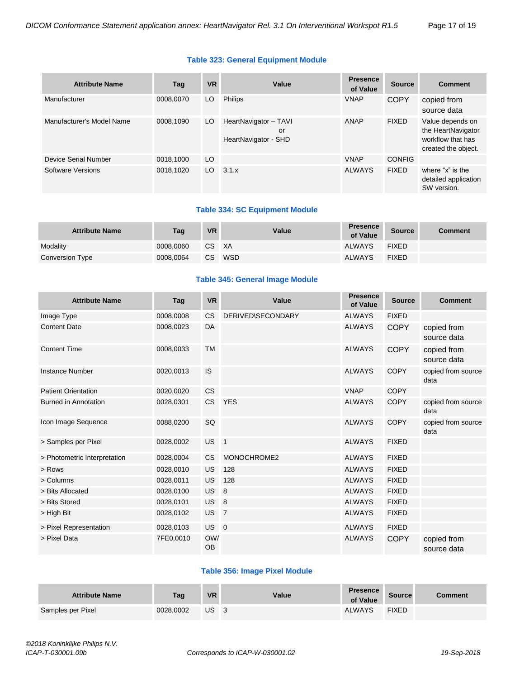#### **Table 323: General Equipment Module**

| <b>Attribute Name</b>       | Tag       | <b>VR</b>       | Value                                               | <b>Presence</b><br>of Value | <b>Source</b> | <b>Comment</b>                                                                     |
|-----------------------------|-----------|-----------------|-----------------------------------------------------|-----------------------------|---------------|------------------------------------------------------------------------------------|
| Manufacturer                | 0008.0070 | LO              | <b>Philips</b>                                      | <b>VNAP</b>                 | <b>COPY</b>   | copied from<br>source data                                                         |
| Manufacturer's Model Name   | 0008.1090 | LO              | HeartNavigator - TAVI<br>or<br>HeartNavigator - SHD | ANAP                        | <b>FIXED</b>  | Value depends on<br>the HeartNavigator<br>workflow that has<br>created the object. |
| <b>Device Serial Number</b> | 0018,1000 | LO <sub>1</sub> |                                                     | <b>VNAP</b>                 | <b>CONFIG</b> |                                                                                    |
| Software Versions           | 0018,1020 | LO              | 3.1.x                                               | <b>ALWAYS</b>               | <b>FIXED</b>  | where "x" is the<br>detailed application<br>SW version.                            |

#### **Table 334: SC Equipment Module**

| <b>Attribute Name</b> | Tag       | <b>VR</b> | Value | <b>Presence</b><br>of Value | <b>Source</b> | <b>Comment</b> |
|-----------------------|-----------|-----------|-------|-----------------------------|---------------|----------------|
| Modality              | 0008.0060 | CS XA     |       | <b>ALWAYS</b>               | <b>FIXED</b>  |                |
| Conversion Type       | 0008.0064 | CS.       | WSD   | <b>ALWAYS</b>               | <b>FIXED</b>  |                |

#### **Table 345: General Image Module**

| <b>Attribute Name</b>        | Tag       | <b>VR</b>        | Value             | <b>Presence</b><br>of Value | <b>Source</b> | <b>Comment</b>             |
|------------------------------|-----------|------------------|-------------------|-----------------------------|---------------|----------------------------|
| Image Type                   | 0008,0008 | <b>CS</b>        | DERIVED\SECONDARY | <b>ALWAYS</b>               | <b>FIXED</b>  |                            |
| <b>Content Date</b>          | 0008,0023 | DA               |                   | <b>ALWAYS</b>               | <b>COPY</b>   | copied from<br>source data |
| <b>Content Time</b>          | 0008,0033 | <b>TM</b>        |                   | <b>ALWAYS</b>               | <b>COPY</b>   | copied from<br>source data |
| <b>Instance Number</b>       | 0020,0013 | <b>IS</b>        |                   | <b>ALWAYS</b>               | <b>COPY</b>   | copied from source<br>data |
| <b>Patient Orientation</b>   | 0020,0020 | <b>CS</b>        |                   | <b>VNAP</b>                 | <b>COPY</b>   |                            |
| <b>Burned in Annotation</b>  | 0028,0301 | CS.              | <b>YES</b>        | <b>ALWAYS</b>               | <b>COPY</b>   | copied from source<br>data |
| Icon Image Sequence          | 0088,0200 | SQ               |                   | <b>ALWAYS</b>               | <b>COPY</b>   | copied from source<br>data |
| > Samples per Pixel          | 0028,0002 | <b>US</b>        | $\blacksquare$    | <b>ALWAYS</b>               | <b>FIXED</b>  |                            |
| > Photometric Interpretation | 0028,0004 | <b>CS</b>        | MONOCHROME2       | <b>ALWAYS</b>               | <b>FIXED</b>  |                            |
| > Rows                       | 0028,0010 | US               | 128               | <b>ALWAYS</b>               | <b>FIXED</b>  |                            |
| > Columns                    | 0028,0011 | US               | 128               | <b>ALWAYS</b>               | <b>FIXED</b>  |                            |
| > Bits Allocated             | 0028,0100 | <b>US</b>        | 8                 | <b>ALWAYS</b>               | <b>FIXED</b>  |                            |
| > Bits Stored                | 0028,0101 | US               | 8                 | <b>ALWAYS</b>               | <b>FIXED</b>  |                            |
| > High Bit                   | 0028,0102 | US <sub>7</sub>  |                   | <b>ALWAYS</b>               | <b>FIXED</b>  |                            |
| > Pixel Representation       | 0028,0103 | US 0             |                   | <b>ALWAYS</b>               | <b>FIXED</b>  |                            |
| > Pixel Data                 | 7FE0,0010 | OW/<br><b>OB</b> |                   | <b>ALWAYS</b>               | <b>COPY</b>   | copied from<br>source data |

#### **Table 356: Image Pixel Module**

| <b>Attribute Name</b> | Tag       | <b>VR</b> | Value | <b>Presence</b><br>of Value | <b>Source</b> | Comment |
|-----------------------|-----------|-----------|-------|-----------------------------|---------------|---------|
| Samples per Pixel     | 0028.0002 | US.       |       | <b>ALWAYS</b>               | <b>FIXED</b>  |         |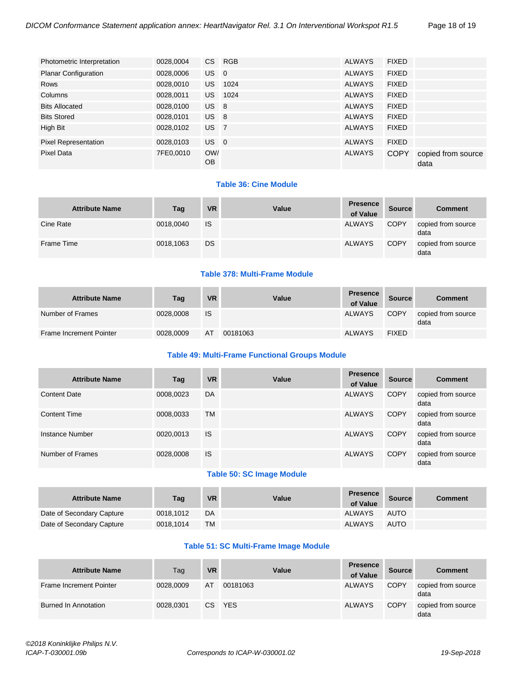| Photometric Interpretation  | 0028,0004 | CS               | RGB     | ALWAYS        | <b>FIXED</b> |                            |
|-----------------------------|-----------|------------------|---------|---------------|--------------|----------------------------|
| <b>Planar Configuration</b> | 0028,0006 | US 0             |         | <b>ALWAYS</b> | <b>FIXED</b> |                            |
| Rows                        | 0028,0010 | US.              | 1024    | <b>ALWAYS</b> | <b>FIXED</b> |                            |
| Columns                     | 0028,0011 |                  | US 1024 | <b>ALWAYS</b> | <b>FIXED</b> |                            |
| <b>Bits Allocated</b>       | 0028,0100 | $US$ 8           |         | <b>ALWAYS</b> | <b>FIXED</b> |                            |
| <b>Bits Stored</b>          | 0028,0101 | US <sub>8</sub>  |         | <b>ALWAYS</b> | <b>FIXED</b> |                            |
| High Bit                    | 0028,0102 | US <sub>7</sub>  |         | <b>ALWAYS</b> | <b>FIXED</b> |                            |
| <b>Pixel Representation</b> | 0028,0103 | US 0             |         | <b>ALWAYS</b> | <b>FIXED</b> |                            |
| Pixel Data                  | 7FE0,0010 | OW/<br><b>OB</b> |         | <b>ALWAYS</b> | <b>COPY</b>  | copied from source<br>data |

#### **Table 36: Cine Module**

| <b>Attribute Name</b> | Tag       | <b>VR</b> | Value | <b>Presence</b><br>of Value | <b>Source</b> | <b>Comment</b>             |
|-----------------------|-----------|-----------|-------|-----------------------------|---------------|----------------------------|
| Cine Rate             | 0018,0040 | IS        |       | <b>ALWAYS</b>               | <b>COPY</b>   | copied from source<br>data |
| Frame Time            | 0018,1063 | DS        |       | <b>ALWAYS</b>               | <b>COPY</b>   | copied from source<br>data |

#### **Table 378: Multi-Frame Module**

| <b>Attribute Name</b>   | Tag       | <b>VR</b> | Value    | <b>Presence</b><br>of Value | Source       | <b>Comment</b>             |
|-------------------------|-----------|-----------|----------|-----------------------------|--------------|----------------------------|
| Number of Frames        | 0028,0008 | <b>IS</b> |          | <b>ALWAYS</b>               | <b>COPY</b>  | copied from source<br>data |
| Frame Increment Pointer | 0028,0009 | AT        | 00181063 | <b>ALWAYS</b>               | <b>FIXED</b> |                            |

#### **Table 49: Multi-Frame Functional Groups Module**

| <b>Attribute Name</b> | Tag       | <b>VR</b> | Value                                                               | <b>Presence</b><br>of Value | <b>Source</b> | <b>Comment</b>             |
|-----------------------|-----------|-----------|---------------------------------------------------------------------|-----------------------------|---------------|----------------------------|
| <b>Content Date</b>   | 0008,0023 | DA        |                                                                     | <b>ALWAYS</b>               | <b>COPY</b>   | copied from source<br>data |
| <b>Content Time</b>   | 0008,0033 | <b>TM</b> |                                                                     | <b>ALWAYS</b>               | <b>COPY</b>   | copied from source<br>data |
| Instance Number       | 0020,0013 | <b>IS</b> |                                                                     | <b>ALWAYS</b>               | <b>COPY</b>   | copied from source<br>data |
| Number of Frames      | 0028,0008 | <b>IS</b> |                                                                     | <b>ALWAYS</b>               | <b>COPY</b>   | copied from source<br>data |
|                       |           |           | $\tau$ , i.e. $\tau$ and $\tau$ i.e. $\tau$ i.e. $\tau$ i.e. $\tau$ |                             |               |                            |

#### **Table 50: SC Image Module**

| <b>Attribute Name</b>     | Tag       | <b>VR</b> | Value | <b>Presence</b><br>of Value | Source      | <b>Comment</b> |
|---------------------------|-----------|-----------|-------|-----------------------------|-------------|----------------|
| Date of Secondary Capture | 0018.1012 | DA        |       | <b>ALWAYS</b>               | <b>AUTO</b> |                |
| Date of Secondary Capture | 0018.1014 | <b>TM</b> |       | <b>ALWAYS</b>               | <b>AUTO</b> |                |

#### **Table 51: SC Multi-Frame Image Module**

| <b>Attribute Name</b>   | Tag       | <b>VR</b> | Value      | <b>Presence</b><br>of Value | <b>Source</b> | <b>Comment</b>             |
|-------------------------|-----------|-----------|------------|-----------------------------|---------------|----------------------------|
| Frame Increment Pointer | 0028,0009 | AT        | 00181063   | <b>ALWAYS</b>               | <b>COPY</b>   | copied from source<br>data |
| Burned In Annotation    | 0028.0301 | CS.       | <b>YES</b> | <b>ALWAYS</b>               | <b>COPY</b>   | copied from source<br>data |